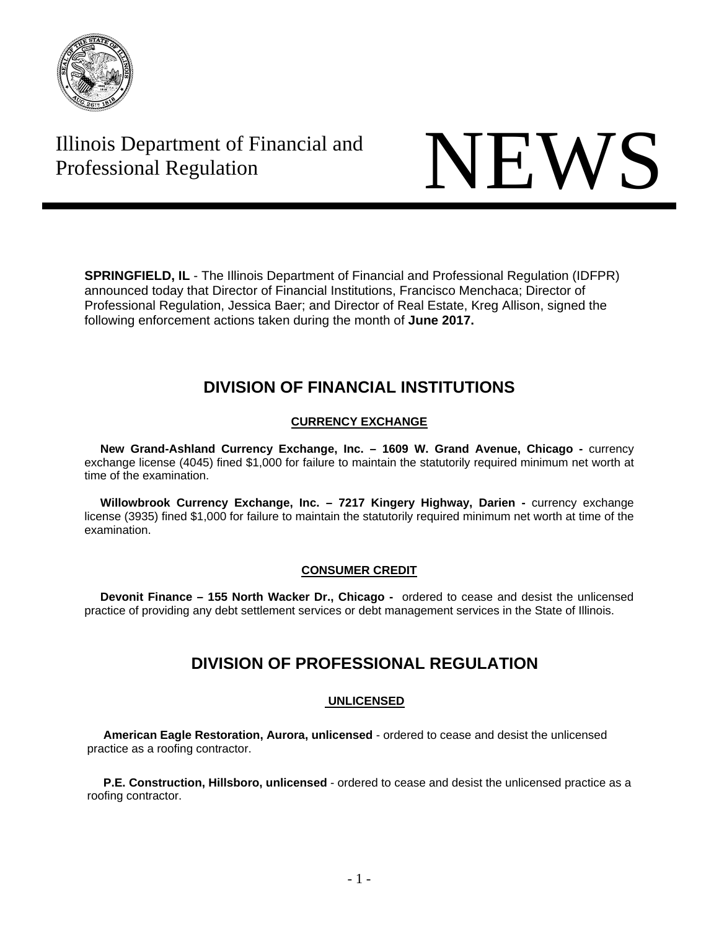

# Illinois Department of Financial and Illinois Department of Financial and<br>Professional Regulation



**SPRINGFIELD, IL** - The Illinois Department of Financial and Professional Regulation (IDFPR) announced today that Director of Financial Institutions, Francisco Menchaca; Director of Professional Regulation, Jessica Baer; and Director of Real Estate, Kreg Allison, signed the following enforcement actions taken during the month of **June 2017.** 

# **DIVISION OF FINANCIAL INSTITUTIONS**

## **CURRENCY EXCHANGE**

**New Grand-Ashland Currency Exchange, Inc. - 1609 W. Grand Avenue, Chicago - currency** exchange license (4045) fined \$1,000 for failure to maintain the statutorily required minimum net worth at time of the examination.

Willowbrook Currency Exchange, Inc. - 7217 Kingery Highway, Darien - currency exchange license (3935) fined \$1,000 for failure to maintain the statutorily required minimum net worth at time of the examination.

### **CONSUMER CREDIT**

**Devonit Finance – 155 North Wacker Dr., Chicago -** ordered to cease and desist the unlicensed practice of providing any debt settlement services or debt management services in the State of Illinois.

# **DIVISION OF PROFESSIONAL REGULATION**

### **UNLICENSED**

 **American Eagle Restoration, Aurora, unlicensed** - ordered to cease and desist the unlicensed practice as a roofing contractor.

 **P.E. Construction, Hillsboro, unlicensed** - ordered to cease and desist the unlicensed practice as a roofing contractor.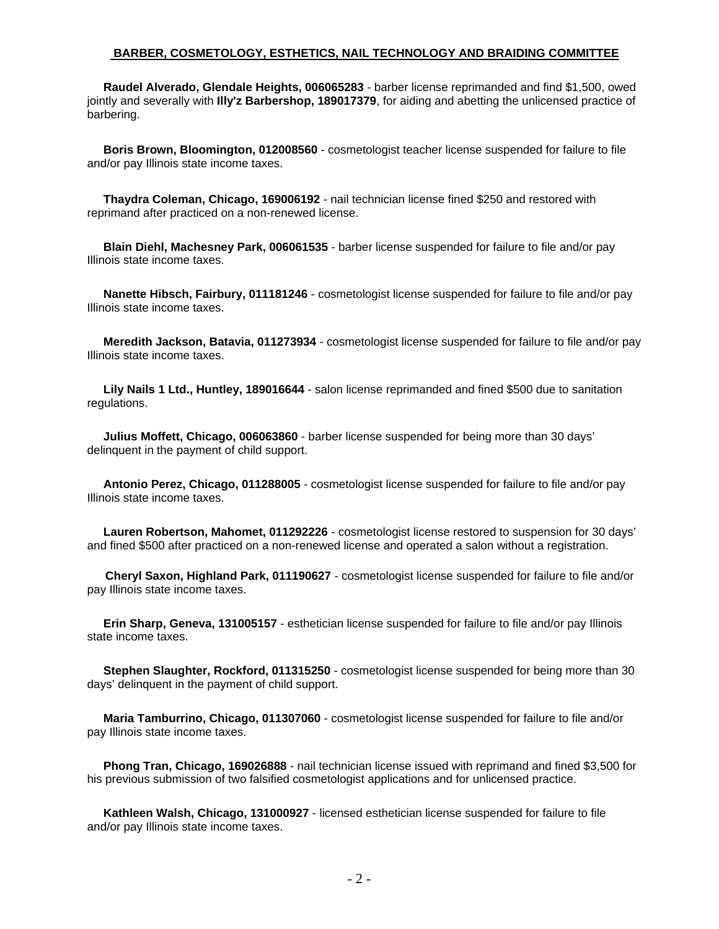#### **BARBER, COSMETOLOGY, ESTHETICS, NAIL TECHNOLOGY AND BRAIDING COMMITTEE**

 **Raudel Alverado, Glendale Heights, 006065283** - barber license reprimanded and find \$1,500, owed jointly and severally with **Illy'z Barbershop, 189017379**, for aiding and abetting the unlicensed practice of barbering.

 **Boris Brown, Bloomington, 012008560** - cosmetologist teacher license suspended for failure to file and/or pay Illinois state income taxes.

 **Thaydra Coleman, Chicago, 169006192** - nail technician license fined \$250 and restored with reprimand after practiced on a non-renewed license.

 **Blain Diehl, Machesney Park, 006061535** - barber license suspended for failure to file and/or pay Illinois state income taxes.

 **Nanette Hibsch, Fairbury, 011181246** - cosmetologist license suspended for failure to file and/or pay Illinois state income taxes.

 **Meredith Jackson, Batavia, 011273934** - cosmetologist license suspended for failure to file and/or pay Illinois state income taxes.

 **Lily Nails 1 Ltd., Huntley, 189016644** - salon license reprimanded and fined \$500 due to sanitation regulations.

 **Julius Moffett, Chicago, 006063860** - barber license suspended for being more than 30 days' delinquent in the payment of child support.

 **Antonio Perez, Chicago, 011288005** - cosmetologist license suspended for failure to file and/or pay Illinois state income taxes.

 **Lauren Robertson, Mahomet, 011292226** - cosmetologist license restored to suspension for 30 days' and fined \$500 after practiced on a non-renewed license and operated a salon without a registration.

**Cheryl Saxon, Highland Park, 011190627** - cosmetologist license suspended for failure to file and/or pay Illinois state income taxes.

 **Erin Sharp, Geneva, 131005157** - esthetician license suspended for failure to file and/or pay Illinois state income taxes.

 **Stephen Slaughter, Rockford, 011315250** - cosmetologist license suspended for being more than 30 days' delinquent in the payment of child support.

 **Maria Tamburrino, Chicago, 011307060** - cosmetologist license suspended for failure to file and/or pay Illinois state income taxes.

 **Phong Tran, Chicago, 169026888** - nail technician license issued with reprimand and fined \$3,500 for his previous submission of two falsified cosmetologist applications and for unlicensed practice.

 **Kathleen Walsh, Chicago, 131000927** - licensed esthetician license suspended for failure to file and/or pay Illinois state income taxes.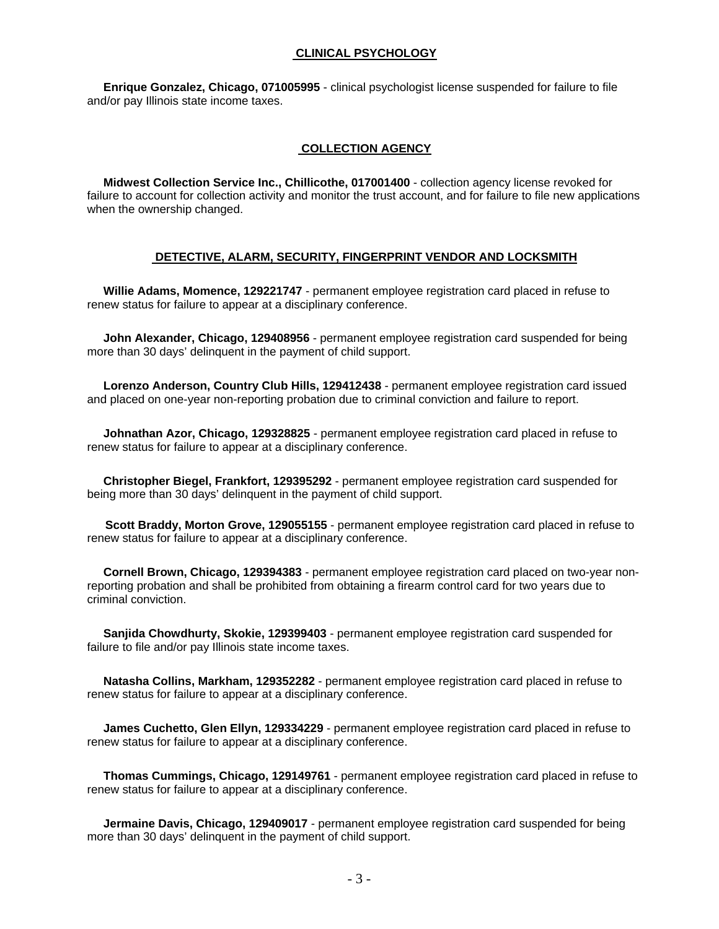#### **CLINICAL PSYCHOLOGY**

 **Enrique Gonzalez, Chicago, 071005995** - clinical psychologist license suspended for failure to file and/or pay Illinois state income taxes.

#### **COLLECTION AGENCY**

 **Midwest Collection Service Inc., Chillicothe, 017001400** - collection agency license revoked for failure to account for collection activity and monitor the trust account, and for failure to file new applications when the ownership changed.

#### **DETECTIVE, ALARM, SECURITY, FINGERPRINT VENDOR AND LOCKSMITH**

 **Willie Adams, Momence, 129221747** - permanent employee registration card placed in refuse to renew status for failure to appear at a disciplinary conference.

 **John Alexander, Chicago, 129408956** - permanent employee registration card suspended for being more than 30 days' delinquent in the payment of child support.

 **Lorenzo Anderson, Country Club Hills, 129412438** - permanent employee registration card issued and placed on one-year non-reporting probation due to criminal conviction and failure to report.

 **Johnathan Azor, Chicago, 129328825** - permanent employee registration card placed in refuse to renew status for failure to appear at a disciplinary conference.

 **Christopher Biegel, Frankfort, 129395292** - permanent employee registration card suspended for being more than 30 days' delinquent in the payment of child support.

**Scott Braddy, Morton Grove, 129055155** - permanent employee registration card placed in refuse to renew status for failure to appear at a disciplinary conference.

 **Cornell Brown, Chicago, 129394383** - permanent employee registration card placed on two-year nonreporting probation and shall be prohibited from obtaining a firearm control card for two years due to criminal conviction.

 **Sanjida Chowdhurty, Skokie, 129399403** - permanent employee registration card suspended for failure to file and/or pay Illinois state income taxes.

 **Natasha Collins, Markham, 129352282** - permanent employee registration card placed in refuse to renew status for failure to appear at a disciplinary conference.

 **James Cuchetto, Glen Ellyn, 129334229** - permanent employee registration card placed in refuse to renew status for failure to appear at a disciplinary conference.

 **Thomas Cummings, Chicago, 129149761** - permanent employee registration card placed in refuse to renew status for failure to appear at a disciplinary conference.

 **Jermaine Davis, Chicago, 129409017** - permanent employee registration card suspended for being more than 30 days' delinquent in the payment of child support.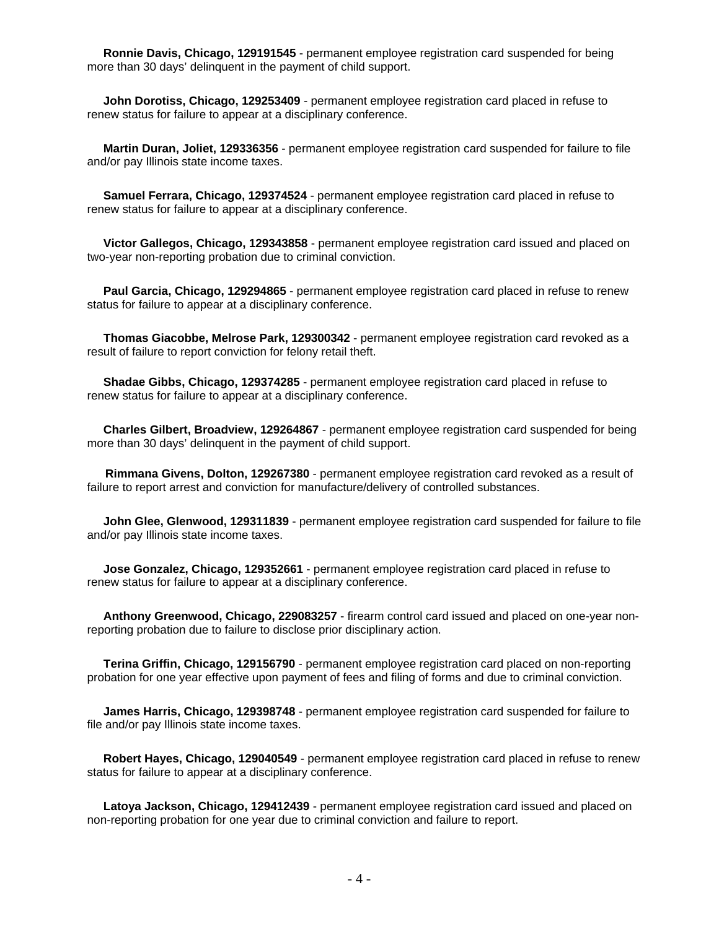**Ronnie Davis, Chicago, 129191545** - permanent employee registration card suspended for being more than 30 days' delinquent in the payment of child support.

 **John Dorotiss, Chicago, 129253409** - permanent employee registration card placed in refuse to renew status for failure to appear at a disciplinary conference.

 **Martin Duran, Joliet, 129336356** - permanent employee registration card suspended for failure to file and/or pay Illinois state income taxes.

 **Samuel Ferrara, Chicago, 129374524** - permanent employee registration card placed in refuse to renew status for failure to appear at a disciplinary conference.

 **Victor Gallegos, Chicago, 129343858** - permanent employee registration card issued and placed on two-year non-reporting probation due to criminal conviction.

 **Paul Garcia, Chicago, 129294865** - permanent employee registration card placed in refuse to renew status for failure to appear at a disciplinary conference.

 **Thomas Giacobbe, Melrose Park, 129300342** - permanent employee registration card revoked as a result of failure to report conviction for felony retail theft.

 **Shadae Gibbs, Chicago, 129374285** - permanent employee registration card placed in refuse to renew status for failure to appear at a disciplinary conference.

 **Charles Gilbert, Broadview, 129264867** - permanent employee registration card suspended for being more than 30 days' delinquent in the payment of child support.

**Rimmana Givens, Dolton, 129267380** - permanent employee registration card revoked as a result of failure to report arrest and conviction for manufacture/delivery of controlled substances.

 **John Glee, Glenwood, 129311839** - permanent employee registration card suspended for failure to file and/or pay Illinois state income taxes.

 **Jose Gonzalez, Chicago, 129352661** - permanent employee registration card placed in refuse to renew status for failure to appear at a disciplinary conference.

 **Anthony Greenwood, Chicago, 229083257** - firearm control card issued and placed on one-year nonreporting probation due to failure to disclose prior disciplinary action.

 **Terina Griffin, Chicago, 129156790** - permanent employee registration card placed on non-reporting probation for one year effective upon payment of fees and filing of forms and due to criminal conviction.

 **James Harris, Chicago, 129398748** - permanent employee registration card suspended for failure to file and/or pay Illinois state income taxes.

 **Robert Hayes, Chicago, 129040549** - permanent employee registration card placed in refuse to renew status for failure to appear at a disciplinary conference.

 **Latoya Jackson, Chicago, 129412439** - permanent employee registration card issued and placed on non-reporting probation for one year due to criminal conviction and failure to report.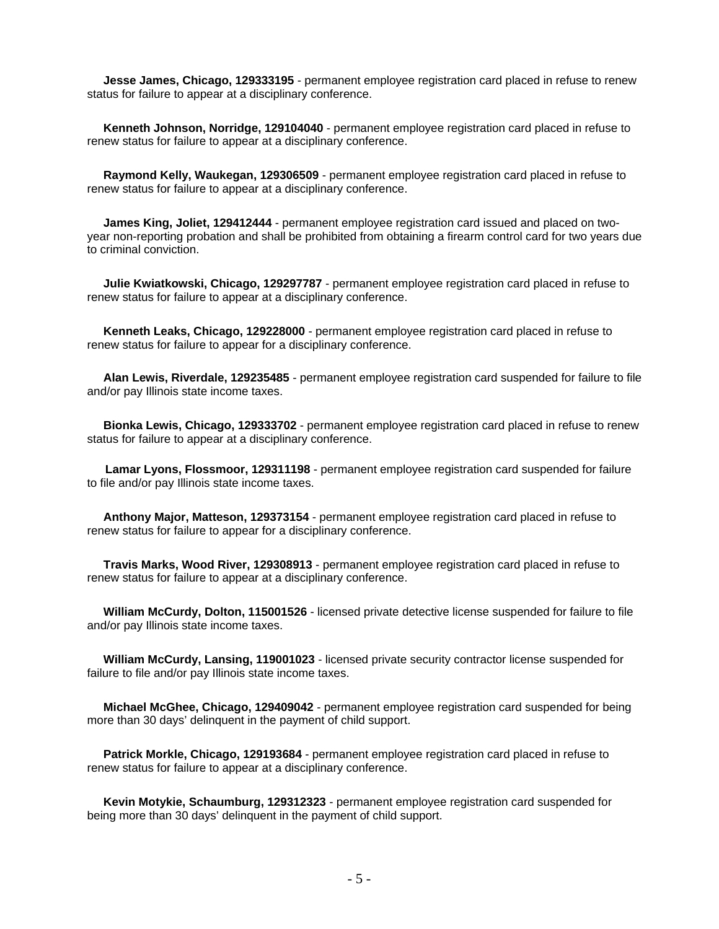**Jesse James, Chicago, 129333195** - permanent employee registration card placed in refuse to renew status for failure to appear at a disciplinary conference.

 **Kenneth Johnson, Norridge, 129104040** - permanent employee registration card placed in refuse to renew status for failure to appear at a disciplinary conference.

 **Raymond Kelly, Waukegan, 129306509** - permanent employee registration card placed in refuse to renew status for failure to appear at a disciplinary conference.

 **James King, Joliet, 129412444** - permanent employee registration card issued and placed on twoyear non-reporting probation and shall be prohibited from obtaining a firearm control card for two years due to criminal conviction.

 **Julie Kwiatkowski, Chicago, 129297787** - permanent employee registration card placed in refuse to renew status for failure to appear at a disciplinary conference.

 **Kenneth Leaks, Chicago, 129228000** - permanent employee registration card placed in refuse to renew status for failure to appear for a disciplinary conference.

 **Alan Lewis, Riverdale, 129235485** - permanent employee registration card suspended for failure to file and/or pay Illinois state income taxes.

 **Bionka Lewis, Chicago, 129333702** - permanent employee registration card placed in refuse to renew status for failure to appear at a disciplinary conference.

**Lamar Lyons, Flossmoor, 129311198** - permanent employee registration card suspended for failure to file and/or pay Illinois state income taxes.

 **Anthony Major, Matteson, 129373154** - permanent employee registration card placed in refuse to renew status for failure to appear for a disciplinary conference.

 **Travis Marks, Wood River, 129308913** - permanent employee registration card placed in refuse to renew status for failure to appear at a disciplinary conference.

 **William McCurdy, Dolton, 115001526** - licensed private detective license suspended for failure to file and/or pay Illinois state income taxes.

 **William McCurdy, Lansing, 119001023** - licensed private security contractor license suspended for failure to file and/or pay Illinois state income taxes.

 **Michael McGhee, Chicago, 129409042** - permanent employee registration card suspended for being more than 30 days' delinquent in the payment of child support.

 **Patrick Morkle, Chicago, 129193684** - permanent employee registration card placed in refuse to renew status for failure to appear at a disciplinary conference.

 **Kevin Motykie, Schaumburg, 129312323** - permanent employee registration card suspended for being more than 30 days' delinquent in the payment of child support.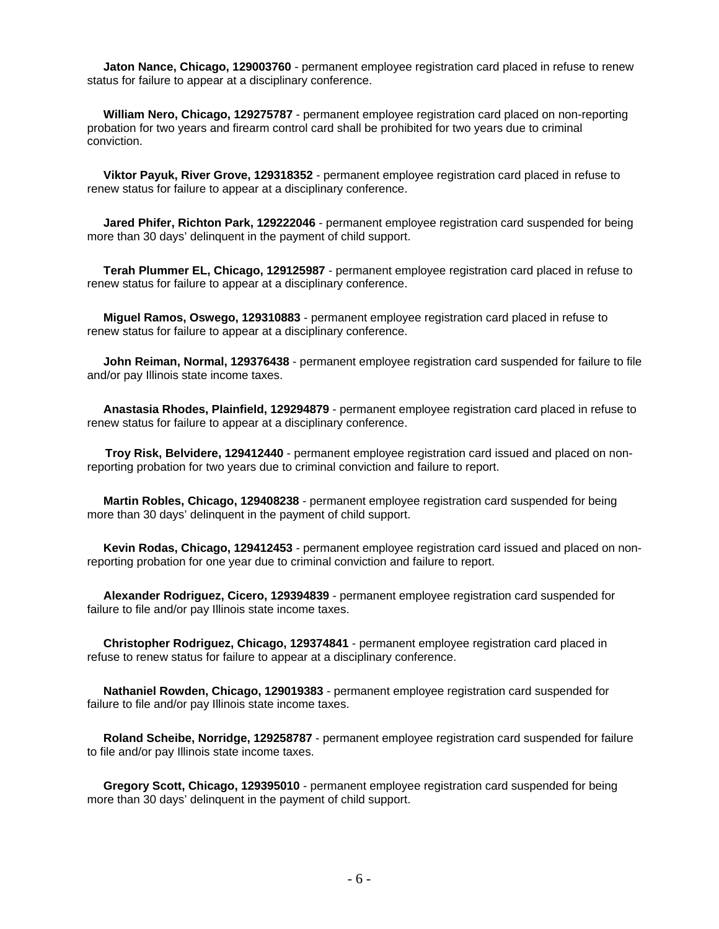**Jaton Nance, Chicago, 129003760** - permanent employee registration card placed in refuse to renew status for failure to appear at a disciplinary conference.

 **William Nero, Chicago, 129275787** - permanent employee registration card placed on non-reporting probation for two years and firearm control card shall be prohibited for two years due to criminal conviction.

 **Viktor Payuk, River Grove, 129318352** - permanent employee registration card placed in refuse to renew status for failure to appear at a disciplinary conference.

 **Jared Phifer, Richton Park, 129222046** - permanent employee registration card suspended for being more than 30 days' delinquent in the payment of child support.

 **Terah Plummer EL, Chicago, 129125987** - permanent employee registration card placed in refuse to renew status for failure to appear at a disciplinary conference.

 **Miguel Ramos, Oswego, 129310883** - permanent employee registration card placed in refuse to renew status for failure to appear at a disciplinary conference.

 **John Reiman, Normal, 129376438** - permanent employee registration card suspended for failure to file and/or pay Illinois state income taxes.

 **Anastasia Rhodes, Plainfield, 129294879** - permanent employee registration card placed in refuse to renew status for failure to appear at a disciplinary conference.

**Troy Risk, Belvidere, 129412440** - permanent employee registration card issued and placed on nonreporting probation for two years due to criminal conviction and failure to report.

 **Martin Robles, Chicago, 129408238** - permanent employee registration card suspended for being more than 30 days' delinquent in the payment of child support.

 **Kevin Rodas, Chicago, 129412453** - permanent employee registration card issued and placed on nonreporting probation for one year due to criminal conviction and failure to report.

 **Alexander Rodriguez, Cicero, 129394839** - permanent employee registration card suspended for failure to file and/or pay Illinois state income taxes.

 **Christopher Rodriguez, Chicago, 129374841** - permanent employee registration card placed in refuse to renew status for failure to appear at a disciplinary conference.

 **Nathaniel Rowden, Chicago, 129019383** - permanent employee registration card suspended for failure to file and/or pay Illinois state income taxes.

 **Roland Scheibe, Norridge, 129258787** - permanent employee registration card suspended for failure to file and/or pay Illinois state income taxes.

 **Gregory Scott, Chicago, 129395010** - permanent employee registration card suspended for being more than 30 days' delinquent in the payment of child support.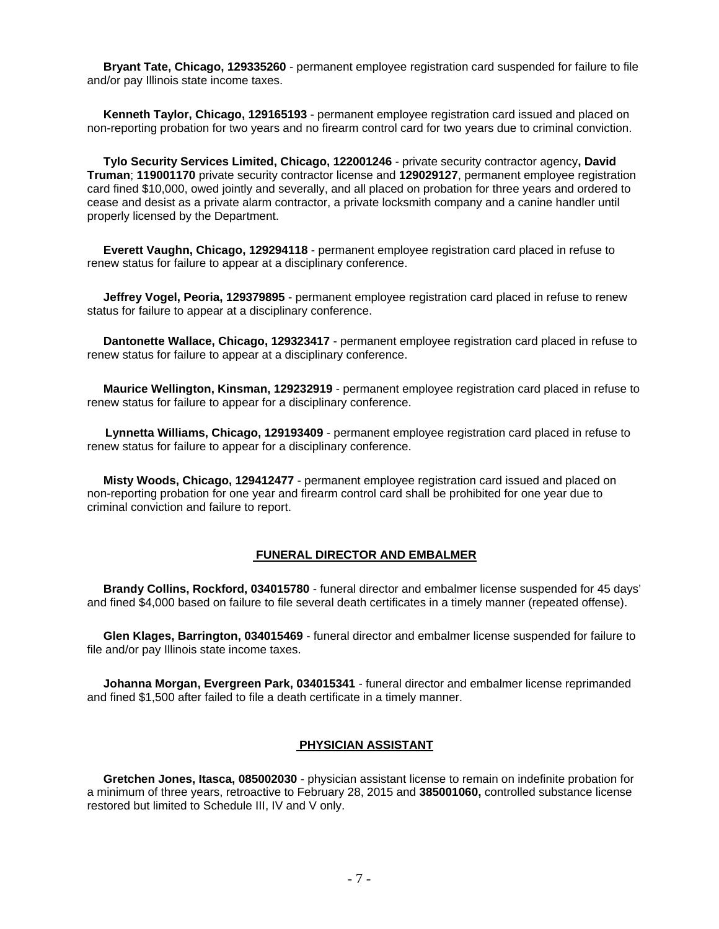**Bryant Tate, Chicago, 129335260** - permanent employee registration card suspended for failure to file and/or pay Illinois state income taxes.

 **Kenneth Taylor, Chicago, 129165193** - permanent employee registration card issued and placed on non-reporting probation for two years and no firearm control card for two years due to criminal conviction.

 **Tylo Security Services Limited, Chicago, 122001246** - private security contractor agency**, David Truman**; **119001170** private security contractor license and **129029127**, permanent employee registration card fined \$10,000, owed jointly and severally, and all placed on probation for three years and ordered to cease and desist as a private alarm contractor, a private locksmith company and a canine handler until properly licensed by the Department.

 **Everett Vaughn, Chicago, 129294118** - permanent employee registration card placed in refuse to renew status for failure to appear at a disciplinary conference.

 **Jeffrey Vogel, Peoria, 129379895** - permanent employee registration card placed in refuse to renew status for failure to appear at a disciplinary conference.

 **Dantonette Wallace, Chicago, 129323417** - permanent employee registration card placed in refuse to renew status for failure to appear at a disciplinary conference.

 **Maurice Wellington, Kinsman, 129232919** - permanent employee registration card placed in refuse to renew status for failure to appear for a disciplinary conference.

**Lynnetta Williams, Chicago, 129193409** - permanent employee registration card placed in refuse to renew status for failure to appear for a disciplinary conference.

 **Misty Woods, Chicago, 129412477** - permanent employee registration card issued and placed on non-reporting probation for one year and firearm control card shall be prohibited for one year due to criminal conviction and failure to report.

#### **FUNERAL DIRECTOR AND EMBALMER**

 **Brandy Collins, Rockford, 034015780** - funeral director and embalmer license suspended for 45 days' and fined \$4,000 based on failure to file several death certificates in a timely manner (repeated offense).

 **Glen Klages, Barrington, 034015469** - funeral director and embalmer license suspended for failure to file and/or pay Illinois state income taxes.

 **Johanna Morgan, Evergreen Park, 034015341** - funeral director and embalmer license reprimanded and fined \$1,500 after failed to file a death certificate in a timely manner.

#### **PHYSICIAN ASSISTANT**

 **Gretchen Jones, Itasca, 085002030** - physician assistant license to remain on indefinite probation for a minimum of three years, retroactive to February 28, 2015 and **385001060,** controlled substance license restored but limited to Schedule III, IV and V only.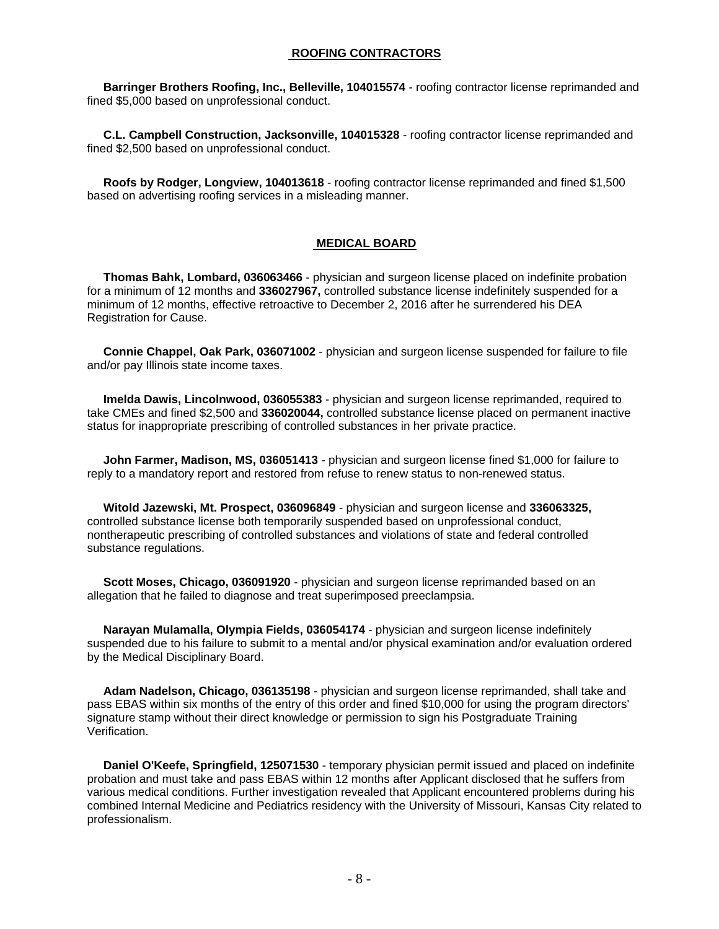#### **ROOFING CONTRACTORS**

 **Barringer Brothers Roofing, Inc., Belleville, 104015574** - roofing contractor license reprimanded and fined \$5,000 based on unprofessional conduct.

 **C.L. Campbell Construction, Jacksonville, 104015328** - roofing contractor license reprimanded and fined \$2,500 based on unprofessional conduct.

 **Roofs by Rodger, Longview, 104013618** - roofing contractor license reprimanded and fined \$1,500 based on advertising roofing services in a misleading manner.

#### **MEDICAL BOARD**

 **Thomas Bahk, Lombard, 036063466** - physician and surgeon license placed on indefinite probation for a minimum of 12 months and **336027967,** controlled substance license indefinitely suspended for a minimum of 12 months, effective retroactive to December 2, 2016 after he surrendered his DEA Registration for Cause.

 **Connie Chappel, Oak Park, 036071002** - physician and surgeon license suspended for failure to file and/or pay Illinois state income taxes.

 **Imelda Dawis, Lincolnwood, 036055383** - physician and surgeon license reprimanded, required to take CMEs and fined \$2,500 and **336020044,** controlled substance license placed on permanent inactive status for inappropriate prescribing of controlled substances in her private practice.

 **John Farmer, Madison, MS, 036051413** - physician and surgeon license fined \$1,000 for failure to reply to a mandatory report and restored from refuse to renew status to non-renewed status.

 **Witold Jazewski, Mt. Prospect, 036096849** - physician and surgeon license and **336063325,**  controlled substance license both temporarily suspended based on unprofessional conduct, nontherapeutic prescribing of controlled substances and violations of state and federal controlled substance regulations.

 **Scott Moses, Chicago, 036091920** - physician and surgeon license reprimanded based on an allegation that he failed to diagnose and treat superimposed preeclampsia.

 **Narayan Mulamalla, Olympia Fields, 036054174** - physician and surgeon license indefinitely suspended due to his failure to submit to a mental and/or physical examination and/or evaluation ordered by the Medical Disciplinary Board.

 **Adam Nadelson, Chicago, 036135198** - physician and surgeon license reprimanded, shall take and pass EBAS within six months of the entry of this order and fined \$10,000 for using the program directors' signature stamp without their direct knowledge or permission to sign his Postgraduate Training Verification.

 **Daniel O'Keefe, Springfield, 125071530** - temporary physician permit issued and placed on indefinite probation and must take and pass EBAS within 12 months after Applicant disclosed that he suffers from various medical conditions. Further investigation revealed that Applicant encountered problems during his combined Internal Medicine and Pediatrics residency with the University of Missouri, Kansas City related to professionalism.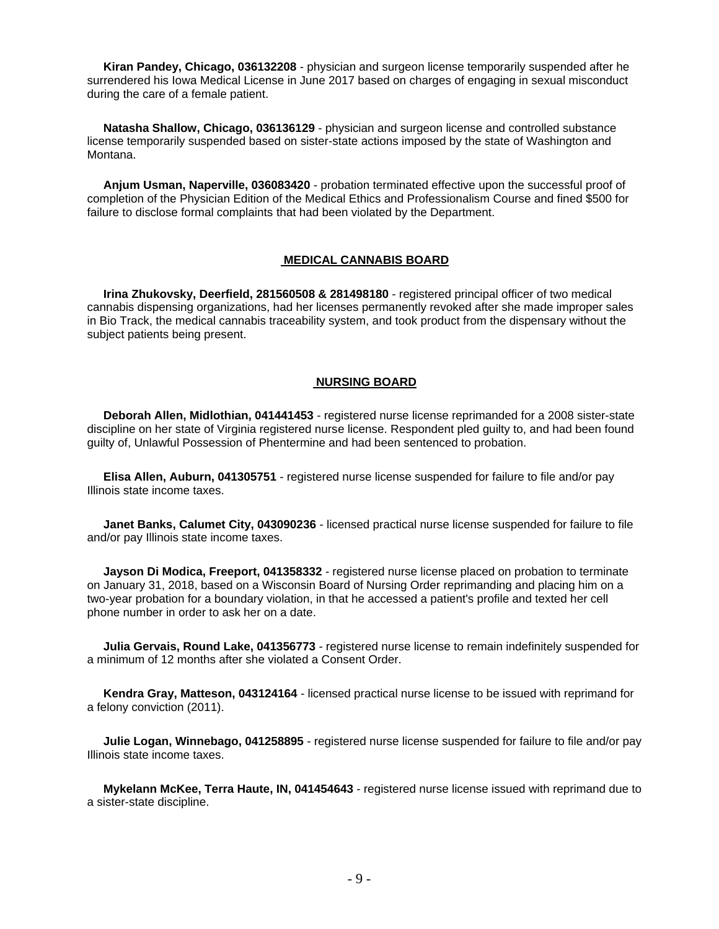**Kiran Pandey, Chicago, 036132208** - physician and surgeon license temporarily suspended after he surrendered his Iowa Medical License in June 2017 based on charges of engaging in sexual misconduct during the care of a female patient.

 **Natasha Shallow, Chicago, 036136129** - physician and surgeon license and controlled substance license temporarily suspended based on sister-state actions imposed by the state of Washington and Montana.

 **Anjum Usman, Naperville, 036083420** - probation terminated effective upon the successful proof of completion of the Physician Edition of the Medical Ethics and Professionalism Course and fined \$500 for failure to disclose formal complaints that had been violated by the Department.

#### **MEDICAL CANNABIS BOARD**

 **Irina Zhukovsky, Deerfield, 281560508 & 281498180** - registered principal officer of two medical cannabis dispensing organizations, had her licenses permanently revoked after she made improper sales in Bio Track, the medical cannabis traceability system, and took product from the dispensary without the subject patients being present.

#### **NURSING BOARD**

 **Deborah Allen, Midlothian, 041441453** - registered nurse license reprimanded for a 2008 sister-state discipline on her state of Virginia registered nurse license. Respondent pled guilty to, and had been found guilty of, Unlawful Possession of Phentermine and had been sentenced to probation.

 **Elisa Allen, Auburn, 041305751** - registered nurse license suspended for failure to file and/or pay Illinois state income taxes.

 **Janet Banks, Calumet City, 043090236** - licensed practical nurse license suspended for failure to file and/or pay Illinois state income taxes.

 **Jayson Di Modica, Freeport, 041358332** - registered nurse license placed on probation to terminate on January 31, 2018, based on a Wisconsin Board of Nursing Order reprimanding and placing him on a two-year probation for a boundary violation, in that he accessed a patient's profile and texted her cell phone number in order to ask her on a date.

 **Julia Gervais, Round Lake, 041356773** - registered nurse license to remain indefinitely suspended for a minimum of 12 months after she violated a Consent Order.

 **Kendra Gray, Matteson, 043124164** - licensed practical nurse license to be issued with reprimand for a felony conviction (2011).

 **Julie Logan, Winnebago, 041258895** - registered nurse license suspended for failure to file and/or pay Illinois state income taxes.

 **Mykelann McKee, Terra Haute, IN, 041454643** - registered nurse license issued with reprimand due to a sister-state discipline.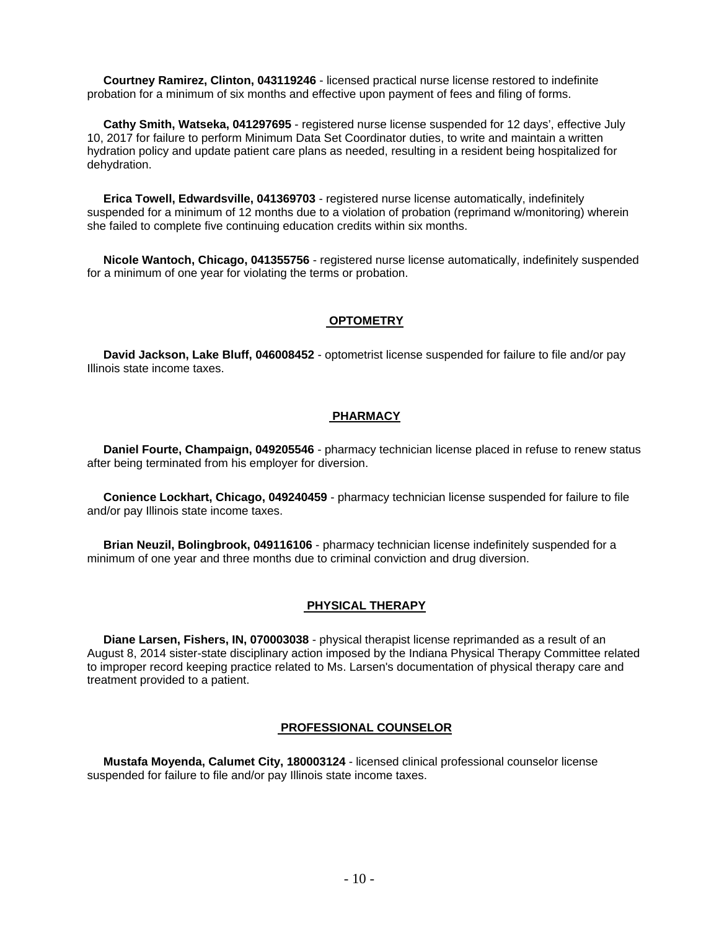**Courtney Ramirez, Clinton, 043119246** - licensed practical nurse license restored to indefinite probation for a minimum of six months and effective upon payment of fees and filing of forms.

 **Cathy Smith, Watseka, 041297695** - registered nurse license suspended for 12 days', effective July 10, 2017 for failure to perform Minimum Data Set Coordinator duties, to write and maintain a written hydration policy and update patient care plans as needed, resulting in a resident being hospitalized for dehydration.

 **Erica Towell, Edwardsville, 041369703** - registered nurse license automatically, indefinitely suspended for a minimum of 12 months due to a violation of probation (reprimand w/monitoring) wherein she failed to complete five continuing education credits within six months.

 **Nicole Wantoch, Chicago, 041355756** - registered nurse license automatically, indefinitely suspended for a minimum of one year for violating the terms or probation.

#### **OPTOMETRY**

 **David Jackson, Lake Bluff, 046008452** - optometrist license suspended for failure to file and/or pay Illinois state income taxes.

#### **PHARMACY**

 **Daniel Fourte, Champaign, 049205546** - pharmacy technician license placed in refuse to renew status after being terminated from his employer for diversion.

 **Conience Lockhart, Chicago, 049240459** - pharmacy technician license suspended for failure to file and/or pay Illinois state income taxes.

 **Brian Neuzil, Bolingbrook, 049116106** - pharmacy technician license indefinitely suspended for a minimum of one year and three months due to criminal conviction and drug diversion.

#### **PHYSICAL THERAPY**

 **Diane Larsen, Fishers, IN, 070003038** - physical therapist license reprimanded as a result of an August 8, 2014 sister-state disciplinary action imposed by the Indiana Physical Therapy Committee related to improper record keeping practice related to Ms. Larsen's documentation of physical therapy care and treatment provided to a patient.

#### **PROFESSIONAL COUNSELOR**

 **Mustafa Moyenda, Calumet City, 180003124** - licensed clinical professional counselor license suspended for failure to file and/or pay Illinois state income taxes.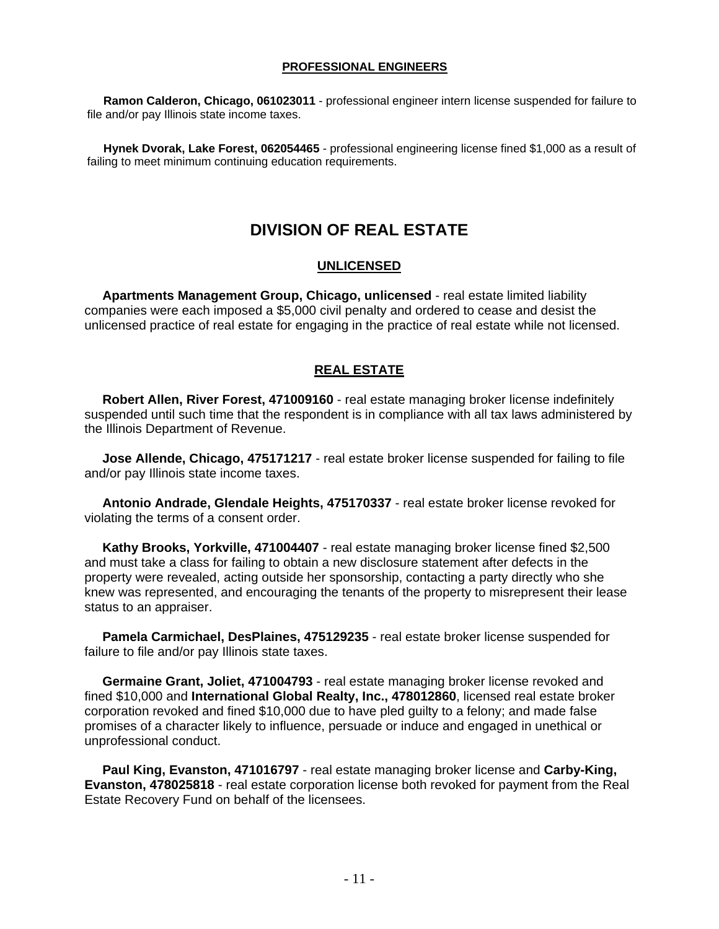#### **PROFESSIONAL ENGINEERS**

 **Ramon Calderon, Chicago, 061023011** - professional engineer intern license suspended for failure to file and/or pay Illinois state income taxes.

 **Hynek Dvorak, Lake Forest, 062054465** - professional engineering license fined \$1,000 as a result of failing to meet minimum continuing education requirements.

# **DIVISION OF REAL ESTATE**

#### **UNLICENSED**

 **Apartments Management Group, Chicago, unlicensed** - real estate limited liability companies were each imposed a \$5,000 civil penalty and ordered to cease and desist the unlicensed practice of real estate for engaging in the practice of real estate while not licensed.

### **REAL ESTATE**

 **Robert Allen, River Forest, 471009160** - real estate managing broker license indefinitely suspended until such time that the respondent is in compliance with all tax laws administered by the Illinois Department of Revenue.

 **Jose Allende, Chicago, 475171217** - real estate broker license suspended for failing to file and/or pay Illinois state income taxes.

 **Antonio Andrade, Glendale Heights, 475170337** - real estate broker license revoked for violating the terms of a consent order.

 **Kathy Brooks, Yorkville, 471004407** - real estate managing broker license fined \$2,500 and must take a class for failing to obtain a new disclosure statement after defects in the property were revealed, acting outside her sponsorship, contacting a party directly who she knew was represented, and encouraging the tenants of the property to misrepresent their lease status to an appraiser.

 **Pamela Carmichael, DesPlaines, 475129235** - real estate broker license suspended for failure to file and/or pay Illinois state taxes.

 **Germaine Grant, Joliet, 471004793** - real estate managing broker license revoked and fined \$10,000 and **International Global Realty, Inc., 478012860**, licensed real estate broker corporation revoked and fined \$10,000 due to have pled guilty to a felony; and made false promises of a character likely to influence, persuade or induce and engaged in unethical or unprofessional conduct.

 **Paul King, Evanston, 471016797** - real estate managing broker license and **Carby-King, Evanston, 478025818** - real estate corporation license both revoked for payment from the Real Estate Recovery Fund on behalf of the licensees.